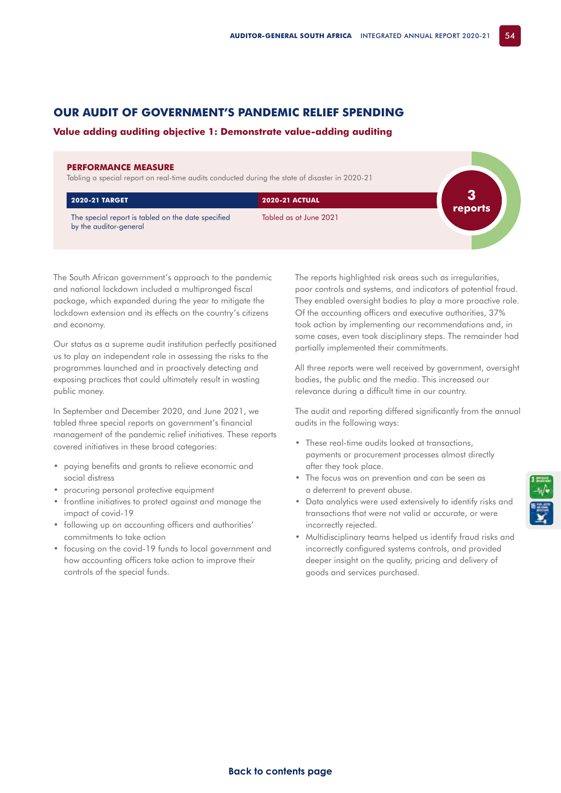## **OUR AUDIT OF GOVERNMENT'S PANDEMIC RELIEF SPENDING**

## **Value adding auditing objective 1: Demonstrate value-adding auditing**

## **PERFORMANCE MEASURE**

Tabling a special report on real-time audits conducted during the state of disaster in 2020-21

| <b>2020-21 TARGET</b>                                                        | <b>2020-21 ACTUAL</b>  | reports |
|------------------------------------------------------------------------------|------------------------|---------|
| The special report is tabled on the date specified<br>by the auditor-general | Tabled as at June 2021 |         |

The South African government's approach to the pandemic and national lockdown included a multipronged fiscal package, which expanded during the year to mitigate the lockdown extension and its effects on the country's citizens and economy.

Our status as a supreme audit institution perfectly positioned us to play an independent role in assessing the risks to the programmes launched and in proactively detecting and exposing practices that could ultimately result in wasting public money.

In September and December 2020, and June 2021, we tabled three special reports on government's financial management of the pandemic relief initiatives. These reports covered initiatives in these broad categories:

- paying benefits and grants to relieve economic and social distress
- procuring personal protective equipment
- frontline initiatives to protect against and manage the impact of covid-19
- following up on accounting officers and authorities' commitments to take action
- focusing on the covid-19 funds to local government and how accounting officers take action to improve their controls of the special funds.

The reports highlighted risk areas such as irregularities, poor controls and systems, and indicators of potential fraud. They enabled oversight bodies to play a more proactive role. Of the accounting officers and executive authorities, 37% took action by implementing our recommendations and, in some cases, even took disciplinary steps. The remainder had partially implemented their commitments.

All three reports were well received by government, oversight bodies, the public and the media. This increased our relevance during a difficult time in our country.

The audit and reporting differed significantly from the annual audits in the following ways:

- These real-time audits looked at transactions, payments or procurement processes almost directly after they took place.
- The focus was on prevention and can be seen as a deterrent to prevent abuse.
- Data analytics were used extensively to identify risks and transactions that were not valid or accurate, or were incorrectly rejected.
- Multidisciplinary teams helped us identify fraud risks and incorrectly configured systems controls, and provided deeper insight on the quality, pricing and delivery of goods and services purchased.